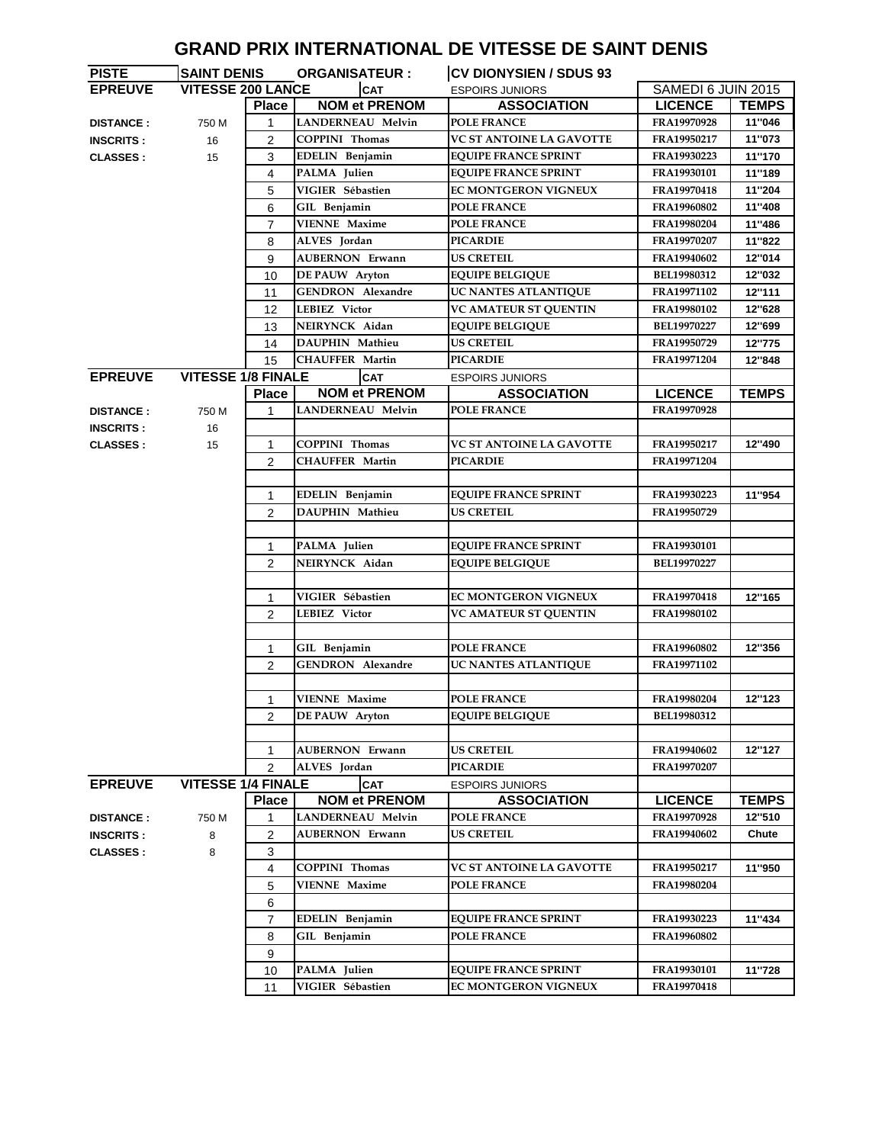|                       |                           |                |                          | <b>GRAND PRIX INTERNATIONAL DE VITESSE DE SAINT DENIS</b> |                    |              |
|-----------------------|---------------------------|----------------|--------------------------|-----------------------------------------------------------|--------------------|--------------|
| <b>PISTE</b>          | <b>SAINT DENIS</b>        |                | <b>ORGANISATEUR:</b>     | <b>CV DIONYSIEN / SDUS 93</b>                             |                    |              |
| <b>EPREUVE</b>        | <b>VITESSE 200 LANCE</b>  |                | <b>CAT</b>               | <b>ESPOIRS JUNIORS</b>                                    | SAMEDI 6 JUIN 2015 |              |
|                       |                           | <b>Place</b>   | <b>NOM et PRENOM</b>     | <b>ASSOCIATION</b>                                        | <b>LICENCE</b>     | <b>TEMPS</b> |
| <b>DISTANCE:</b>      | 750 M                     | 1              | <b>LANDERNEAU Melvin</b> | <b>POLE FRANCE</b>                                        | FRA19970928        | 11"046       |
| <b>INSCRITS:</b>      | 16                        | $\overline{2}$ | <b>COPPINI Thomas</b>    | <b>VC ST ANTOINE LA GAVOTTE</b>                           | FRA19950217        | 11"073       |
| 15<br><b>CLASSES:</b> |                           | 3              | EDELIN Benjamin          | <b>EQUIPE FRANCE SPRINT</b>                               | FRA19930223        | 11"170       |
|                       |                           | 4              | PALMA Julien             | <b>EQUIPE FRANCE SPRINT</b>                               | <b>FRA19930101</b> | 11"189       |
|                       |                           | 5              | VIGIER Sébastien         | <b>EC MONTGERON VIGNEUX</b>                               | FRA19970418        | 11"204       |
|                       |                           | 6              | GIL Benjamin             | <b>POLE FRANCE</b>                                        | FRA19960802        | 11"408       |
|                       |                           | $\overline{7}$ | <b>VIENNE Maxime</b>     | <b>POLE FRANCE</b>                                        | FRA19980204        | 11"486       |
|                       |                           | 8              | ALVES Jordan             | <b>PICARDIE</b>                                           | FRA19970207        | 11"822       |
|                       |                           | 9              | <b>AUBERNON Erwann</b>   | <b>US CRETEIL</b>                                         | FRA19940602        | 12"014       |
|                       |                           | 10             | <b>DE PAUW</b> Aryton    | <b>EQUIPE BELGIQUE</b>                                    | <b>BEL19980312</b> | 12"032       |
|                       |                           | 11             | <b>GENDRON</b> Alexandre | UC NANTES ATLANTIQUE                                      | FRA19971102        | 12"111       |
|                       |                           | 12             | <b>LEBIEZ Victor</b>     | <b>VC AMATEUR ST QUENTIN</b>                              | FRA19980102        | 12"628       |
|                       |                           | 13             | NEIRYNCK Aidan           | <b>EQUIPE BELGIQUE</b>                                    | BEL19970227        | 12"699       |
|                       |                           | 14             | <b>DAUPHIN Mathieu</b>   | <b>US CRETEIL</b>                                         | FRA19950729        | 12"775       |
|                       |                           | 15             | <b>CHAUFFER Martin</b>   | <b>PICARDIE</b>                                           | FRA19971204        | 12"848       |
| <b>EPREUVE</b>        | <b>VITESSE 1/8 FINALE</b> |                | <b>CAT</b>               | <b>ESPOIRS JUNIORS</b>                                    |                    |              |
|                       |                           | <b>Place</b>   | <b>NOM et PRENOM</b>     | <b>ASSOCIATION</b>                                        | <b>LICENCE</b>     | <b>TEMPS</b> |
| <b>DISTANCE:</b>      | 750 M                     | 1              | <b>LANDERNEAU Melvin</b> | <b>POLE FRANCE</b>                                        | FRA19970928        |              |
| <b>INSCRITS:</b>      | 16                        |                |                          |                                                           |                    |              |
| <b>CLASSES:</b>       | 15                        | 1              | <b>COPPINI Thomas</b>    | <b>VC ST ANTOINE LA GAVOTTE</b>                           | FRA19950217        | 12"490       |
|                       |                           | 2              | <b>CHAUFFER Martin</b>   | <b>PICARDIE</b>                                           | FRA19971204        |              |
|                       |                           |                |                          |                                                           |                    |              |
|                       |                           | 1              | EDELIN Benjamin          | <b>EQUIPE FRANCE SPRINT</b>                               | FRA19930223        | 11"954       |
|                       |                           | $\overline{c}$ | DAUPHIN Mathieu          | <b>US CRETEIL</b>                                         | FRA19950729        |              |
|                       |                           |                |                          |                                                           |                    |              |
|                       |                           | 1              | PALMA Julien             | <b>EQUIPE FRANCE SPRINT</b>                               | FRA19930101        |              |
|                       |                           | 2              | NEIRYNCK Aidan           | <b>EQUIPE BELGIQUE</b>                                    | BEL19970227        |              |
|                       |                           |                |                          |                                                           |                    |              |
|                       |                           | 1              | VIGIER Sébastien         | <b>EC MONTGERON VIGNEUX</b>                               | FRA19970418        | 12"165       |
|                       |                           | 2              | LEBIEZ Victor            | <b>VC AMATEUR ST QUENTIN</b>                              | FRA19980102        |              |
|                       |                           |                |                          |                                                           |                    |              |
|                       |                           | 1              | GIL Benjamin             | <b>POLE FRANCE</b>                                        | FRA19960802        | 12"356       |
|                       |                           | 2              | <b>GENDRON</b> Alexandre | UC NANTES ATLANTIQUE                                      | FRA19971102        |              |
|                       |                           |                |                          |                                                           |                    |              |
|                       |                           | 1              | <b>VIENNE Maxime</b>     | <b>POLE FRANCE</b>                                        | FRA19980204        | 12"123       |
|                       |                           | 2              | DE PAUW Aryton           | <b>EQUIPE BELGIQUE</b>                                    | BEL19980312        |              |
|                       |                           |                |                          |                                                           |                    |              |
|                       |                           | 1              | <b>AUBERNON Erwann</b>   | <b>US CRETEIL</b>                                         | FRA19940602        | 12"127       |
|                       |                           | $\overline{c}$ | ALVES Jordan             | <b>PICARDIE</b>                                           | FRA19970207        |              |
| <b>EPREUVE</b>        | <b>VITESSE 1/4 FINALE</b> |                | <b>CAT</b>               | <b>ESPOIRS JUNIORS</b>                                    |                    |              |
|                       |                           | <b>Place</b>   | <b>NOM et PRENOM</b>     | <b>ASSOCIATION</b>                                        | <b>LICENCE</b>     | <b>TEMPS</b> |
| <b>DISTANCE:</b>      | 750 M                     | 1              | <b>LANDERNEAU Melvin</b> | <b>POLE FRANCE</b>                                        | FRA19970928        | 12"510       |
| <b>INSCRITS:</b>      | 8                         | 2              | <b>AUBERNON Erwann</b>   | <b>US CRETEIL</b>                                         | FRA19940602        | Chute        |
| <b>CLASSES:</b>       | 8                         | 3              |                          |                                                           |                    |              |
|                       |                           | 4              | <b>COPPINI Thomas</b>    | <b>VC ST ANTOINE LA GAVOTTE</b>                           | FRA19950217        | 11"950       |
|                       |                           | 5              | <b>VIENNE Maxime</b>     | <b>POLE FRANCE</b>                                        | FRA19980204        |              |
|                       |                           | 6              |                          |                                                           |                    |              |
|                       |                           | 7              | EDELIN Benjamin          | <b>EQUIPE FRANCE SPRINT</b>                               | FRA19930223        | 11"434       |
|                       |                           | 8              | GIL Benjamin             | <b>POLE FRANCE</b>                                        | FRA19960802        |              |
|                       |                           | 9              |                          |                                                           |                    |              |
|                       |                           | 10             | PALMA Julien             | <b>EQUIPE FRANCE SPRINT</b>                               | FRA19930101        | 11"728       |
|                       |                           |                |                          |                                                           |                    |              |

11 **VIGIER Sébastien EC MONTGERON VIGNEUX FRA19970418**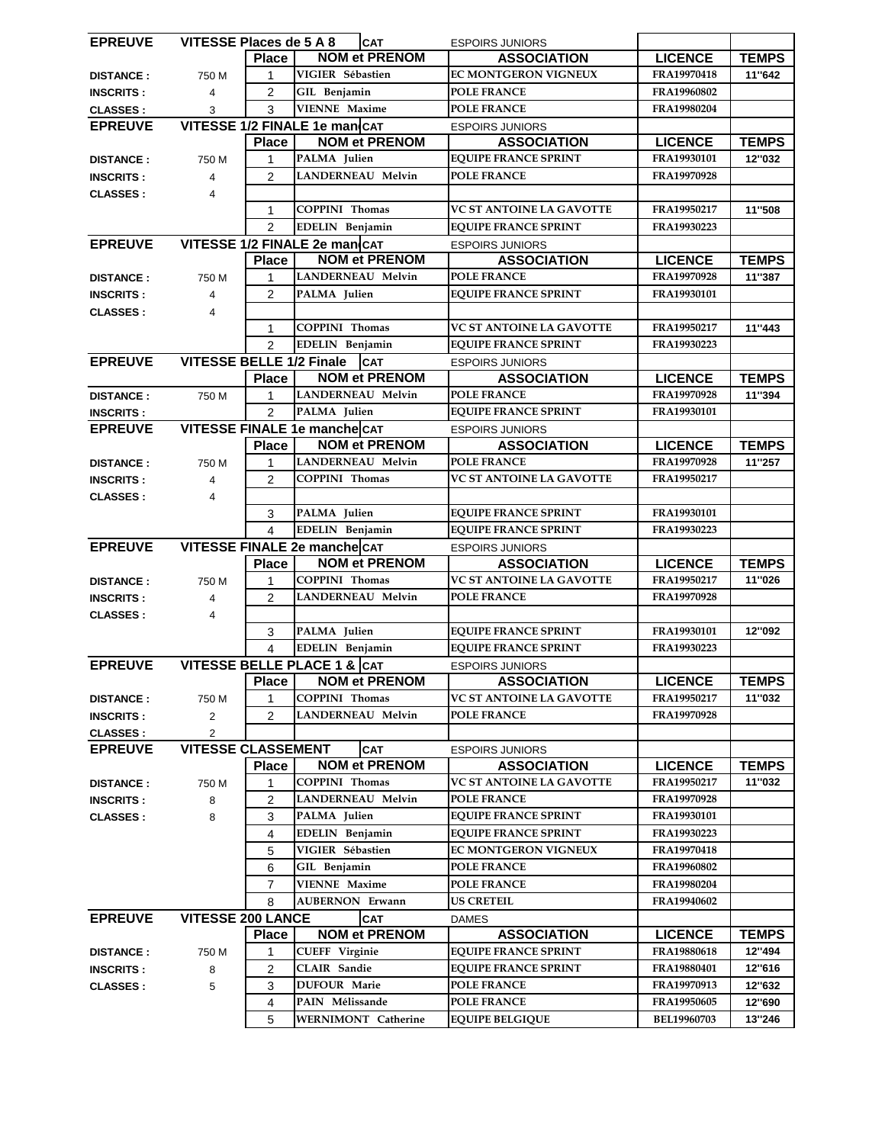| <b>EPREUVE</b>   | VITESSE Places de 5 A 8         |                | <b>CAT</b>                                    | <b>ESPOIRS JUNIORS</b>                       |                            |                  |
|------------------|---------------------------------|----------------|-----------------------------------------------|----------------------------------------------|----------------------------|------------------|
|                  |                                 | <b>Place</b>   | <b>NOM et PRENOM</b>                          | <b>ASSOCIATION</b>                           | <b>LICENCE</b>             | <b>TEMPS</b>     |
| <b>DISTANCE:</b> | 750 M                           | 1              | VIGIER Sébastien                              | EC MONTGERON VIGNEUX                         | FRA19970418                | 11"642           |
| <b>INSCRITS:</b> | $\overline{4}$                  | $\overline{2}$ | GIL Benjamin                                  | <b>POLE FRANCE</b>                           | FRA19960802                |                  |
| <b>CLASSES:</b>  | 3                               | 3              | <b>VIENNE Maxime</b>                          | <b>POLE FRANCE</b>                           | FRA19980204                |                  |
| <b>EPREUVE</b>   |                                 |                | VITESSE 1/2 FINALE 1e man CAT                 | <b>ESPOIRS JUNIORS</b>                       |                            |                  |
|                  |                                 | <b>Place</b>   | <b>NOM et PRENOM</b>                          | <b>ASSOCIATION</b>                           | <b>LICENCE</b>             | <b>TEMPS</b>     |
| <b>DISTANCE:</b> | 750 M                           | 1              | PALMA Julien                                  | <b>EQUIPE FRANCE SPRINT</b>                  | FRA19930101                | 12"032           |
| <b>INSCRITS:</b> | 4                               | 2              | <b>LANDERNEAU Melvin</b>                      | <b>POLE FRANCE</b>                           | FRA19970928                |                  |
| <b>CLASSES:</b>  | $\overline{4}$                  |                |                                               |                                              |                            |                  |
|                  |                                 | 1              | <b>COPPINI Thomas</b>                         | <b>VC ST ANTOINE LA GAVOTTE</b>              | FRA19950217                | 11"508           |
|                  |                                 | $\overline{2}$ | EDELIN Benjamin                               | <b>EQUIPE FRANCE SPRINT</b>                  | FRA19930223                |                  |
|                  |                                 |                | VITESSE 1/2 FINALE 2e man CAT                 |                                              |                            |                  |
| <b>EPREUVE</b>   |                                 |                | <b>NOM et PRENOM</b>                          | <b>ESPOIRS JUNIORS</b>                       |                            |                  |
|                  |                                 | <b>Place</b>   |                                               | <b>ASSOCIATION</b>                           | <b>LICENCE</b>             | <b>TEMPS</b>     |
| <b>DISTANCE:</b> | 750 M                           | 1              | <b>LANDERNEAU Melvin</b>                      | <b>POLE FRANCE</b>                           | FRA19970928                | 11"387           |
| <b>INSCRITS:</b> | 4                               | $\overline{2}$ | PALMA Julien                                  | <b>EQUIPE FRANCE SPRINT</b>                  | FRA19930101                |                  |
| <b>CLASSES:</b>  | $\overline{4}$                  |                |                                               |                                              |                            |                  |
|                  |                                 | $\mathbf{1}$   | <b>COPPINI Thomas</b>                         | <b>VC ST ANTOINE LA GAVOTTE</b>              | FRA19950217                | 11"443           |
|                  |                                 | $\mathfrak{p}$ | EDELIN Benjamin                               | <b>EQUIPE FRANCE SPRINT</b>                  | FRA19930223                |                  |
| <b>EPREUVE</b>   | <b>VITESSE BELLE 1/2 Finale</b> |                | <b>CAT</b>                                    | <b>ESPOIRS JUNIORS</b>                       |                            |                  |
|                  |                                 | <b>Place</b>   | <b>NOM et PRENOM</b>                          | <b>ASSOCIATION</b>                           | <b>LICENCE</b>             | <b>TEMPS</b>     |
| <b>DISTANCE:</b> | 750 M                           | 1              | <b>LANDERNEAU Melvin</b>                      | <b>POLE FRANCE</b>                           | FRA19970928                | 11"394           |
| <b>INSCRITS:</b> |                                 | $\overline{2}$ | PALMA Julien                                  | <b>EQUIPE FRANCE SPRINT</b>                  | FRA19930101                |                  |
| <b>EPREUVE</b>   |                                 |                | VITESSE FINALE 1e mancheCAT                   | <b>ESPOIRS JUNIORS</b>                       |                            |                  |
|                  |                                 | <b>Place</b>   | <b>NOM et PRENOM</b>                          | <b>ASSOCIATION</b>                           | <b>LICENCE</b>             | <b>TEMPS</b>     |
| <b>DISTANCE:</b> | 750 M                           | 1              | <b>LANDERNEAU Melvin</b>                      | <b>POLE FRANCE</b>                           | FRA19970928                | 11"257           |
| <b>INSCRITS:</b> | $\overline{4}$                  | $\mathcal{P}$  | <b>COPPINI Thomas</b>                         | VC ST ANTOINE LA GAVOTTE                     | FRA19950217                |                  |
| <b>CLASSES:</b>  | 4                               |                |                                               |                                              |                            |                  |
|                  |                                 | 3              | PALMA Julien                                  | <b>EQUIPE FRANCE SPRINT</b>                  | FRA19930101                |                  |
|                  |                                 | 4              | EDELIN Benjamin                               | <b>EQUIPE FRANCE SPRINT</b>                  | FRA19930223                |                  |
|                  |                                 |                |                                               |                                              |                            |                  |
| <b>EPREUVE</b>   |                                 |                | VITESSE FINALE 2e mancheCAT                   | <b>ESPOIRS JUNIORS</b>                       |                            |                  |
|                  |                                 | <b>Place</b>   | <b>NOM et PRENOM</b>                          | <b>ASSOCIATION</b>                           | <b>LICENCE</b>             | <b>TEMPS</b>     |
| <b>DISTANCE:</b> | 750 M                           | 1              | <b>COPPINI Thomas</b>                         | VC ST ANTOINE LA GAVOTTE                     | FRA19950217                | 11"026           |
| <b>INSCRITS:</b> | 4                               | $\overline{2}$ | LANDERNEAU Melvin                             | <b>POLE FRANCE</b>                           | FRA19970928                |                  |
| <b>CLASSES:</b>  | 4                               |                |                                               |                                              |                            |                  |
|                  |                                 |                | PALMA Julien                                  |                                              | <b>FRA19930101</b>         | 12"092           |
|                  |                                 | 3<br>4         |                                               | <b>EQUIPE FRANCE SPRINT</b>                  | FRA19930223                |                  |
|                  |                                 |                | EDELIN Benjamin                               | <b>EQUIPE FRANCE SPRINT</b>                  |                            |                  |
| <b>EPREUVE</b>   |                                 |                | VITESSE BELLE PLACE 1 & CAT                   | <b>ESPOIRS JUNIORS</b>                       |                            |                  |
|                  |                                 | <b>Place</b>   | <b>NOM et PRENOM</b>                          | <b>ASSOCIATION</b>                           | <b>LICENCE</b>             | <b>TEMPS</b>     |
| <b>DISTANCE:</b> | 750 M                           | 1              | <b>COPPINI Thomas</b>                         | VC ST ANTOINE LA GAVOTTE                     | FRA19950217                | 11"032           |
| <b>INSCRITS:</b> | 2                               | $\overline{2}$ | <b>LANDERNEAU Melvin</b>                      | <b>POLE FRANCE</b>                           | FRA19970928                |                  |
| <b>CLASSES:</b>  | $\overline{2}$                  |                |                                               |                                              |                            |                  |
| <b>EPREUVE</b>   | <b>VITESSE CLASSEMENT</b>       |                | <b>CAT</b>                                    | <b>ESPOIRS JUNIORS</b>                       |                            |                  |
|                  |                                 | <b>Place</b>   | <b>NOM et PRENOM</b>                          | <b>ASSOCIATION</b>                           | <b>LICENCE</b>             | <b>TEMPS</b>     |
| <b>DISTANCE:</b> | 750 M                           | 1              | <b>COPPINI Thomas</b>                         | <b>VC ST ANTOINE LA GAVOTTE</b>              | FRA19950217                | 11"032           |
| <b>INSCRITS:</b> | 8                               | 2              | <b>LANDERNEAU Melvin</b>                      | <b>POLE FRANCE</b>                           | FRA19970928                |                  |
| <b>CLASSES:</b>  | 8                               | 3              | PALMA Julien                                  | <b>EQUIPE FRANCE SPRINT</b>                  | FRA19930101                |                  |
|                  |                                 | 4              | EDELIN Benjamin                               | <b>EQUIPE FRANCE SPRINT</b>                  | FRA19930223                |                  |
|                  |                                 | 5              | VIGIER Sébastien                              | EC MONTGERON VIGNEUX                         | FRA19970418                |                  |
|                  |                                 | 6              | GIL Benjamin                                  | <b>POLE FRANCE</b>                           | FRA19960802                |                  |
|                  |                                 | $\overline{7}$ | <b>VIENNE Maxime</b>                          | <b>POLE FRANCE</b>                           | FRA19980204                |                  |
|                  |                                 | 8              | <b>AUBERNON Erwann</b>                        | <b>US CRETEIL</b>                            | FRA19940602                |                  |
| <b>EPREUVE</b>   | <b>VITESSE 200 LANCE</b>        |                | <b>CAT</b>                                    | <b>DAMES</b>                                 |                            |                  |
|                  |                                 | <b>Place</b>   | <b>NOM et PRENOM</b>                          | <b>ASSOCIATION</b>                           | <b>LICENCE</b>             | <b>TEMPS</b>     |
| <b>DISTANCE:</b> | 750 M                           | 1              | <b>CUEFF Virginie</b>                         | <b>EQUIPE FRANCE SPRINT</b>                  | FRA19880618                | 12"494           |
| <b>INSCRITS:</b> | 8                               | 2              | <b>CLAIR</b> Sandie                           | <b>EQUIPE FRANCE SPRINT</b>                  | FRA19880401                | 12"616           |
| <b>CLASSES:</b>  | 5                               | 3              | <b>DUFOUR Marie</b>                           | <b>POLE FRANCE</b>                           | FRA19970913                | 12"632           |
|                  |                                 | 4<br>5         | PAIN Mélissande<br><b>WERNIMONT Catherine</b> | <b>POLE FRANCE</b><br><b>EQUIPE BELGIQUE</b> | FRA19950605<br>BEL19960703 | 12"690<br>13"246 |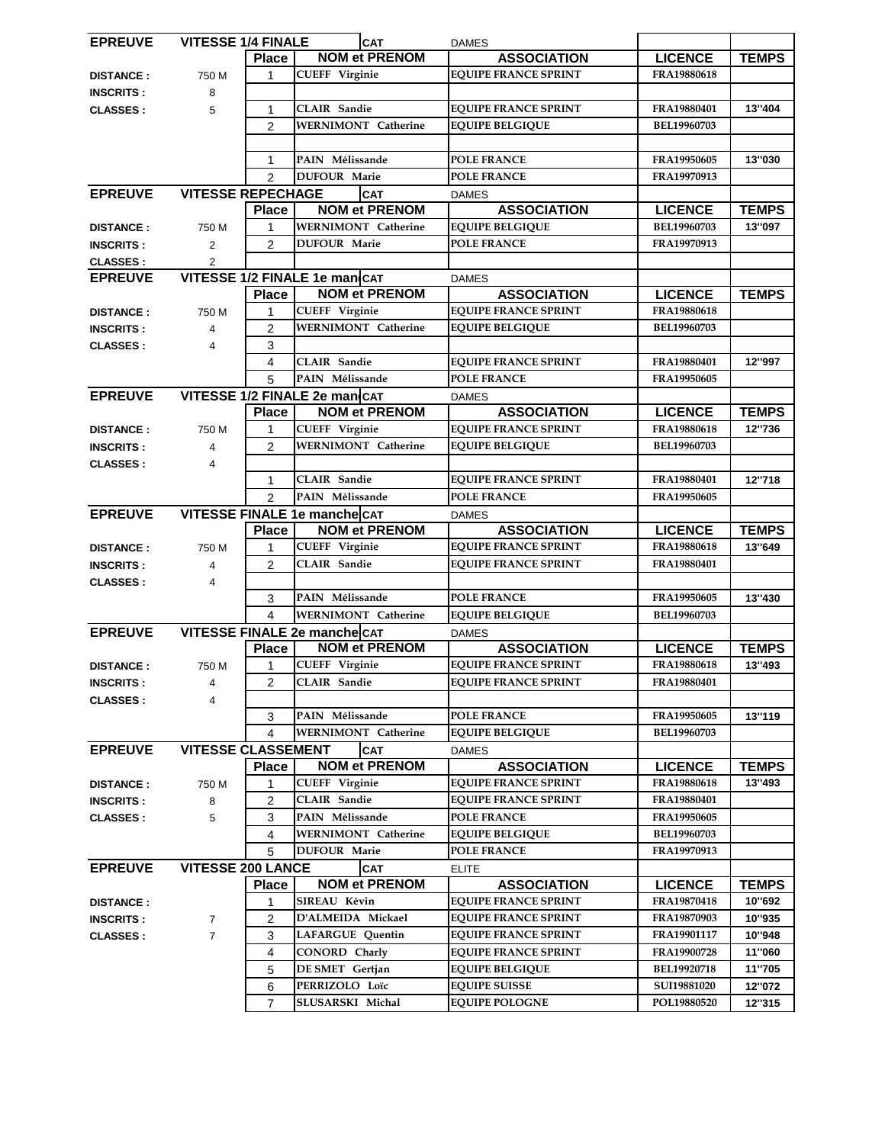| <b>EPREUVE</b>   | <b>VITESSE 1/4 FINALE</b> |                | <b>CAT</b>                    | <b>DAMES</b>                |                    |              |
|------------------|---------------------------|----------------|-------------------------------|-----------------------------|--------------------|--------------|
|                  |                           | <b>Place</b>   | <b>NOM et PRENOM</b>          | <b>ASSOCIATION</b>          | <b>LICENCE</b>     | <b>TEMPS</b> |
| <b>DISTANCE:</b> | 750 M                     | 1              | <b>CUEFF Virginie</b>         | <b>EQUIPE FRANCE SPRINT</b> | FRA19880618        |              |
| <b>INSCRITS:</b> | 8                         |                |                               |                             |                    |              |
| <b>CLASSES:</b>  | 5                         | 1              | <b>CLAIR Sandie</b>           | <b>EQUIPE FRANCE SPRINT</b> | FRA19880401        | 13"404       |
|                  |                           | $\overline{2}$ | <b>WERNIMONT Catherine</b>    | <b>EQUIPE BELGIQUE</b>      | BEL19960703        |              |
|                  |                           |                |                               |                             |                    |              |
|                  |                           | 1              | PAIN Mélissande               | <b>POLE FRANCE</b>          | FRA19950605        | 13"030       |
|                  |                           | $\overline{2}$ | <b>DUFOUR Marie</b>           | <b>POLE FRANCE</b>          | FRA19970913        |              |
| <b>EPREUVE</b>   | <b>VITESSE REPECHAGE</b>  |                | <b>CAT</b>                    | <b>DAMES</b>                |                    |              |
|                  |                           | <b>Place</b>   | <b>NOM et PRENOM</b>          | <b>ASSOCIATION</b>          | <b>LICENCE</b>     | <b>TEMPS</b> |
|                  |                           |                | <b>WERNIMONT</b> Catherine    | <b>EQUIPE BELGIQUE</b>      | BEL19960703        | 13"097       |
| <b>DISTANCE:</b> | 750 M                     |                | <b>DUFOUR Marie</b>           | <b>POLE FRANCE</b>          | FRA19970913        |              |
| <b>INSCRITS:</b> | $\overline{2}$            | $\overline{2}$ |                               |                             |                    |              |
| <b>CLASSES:</b>  | $\overline{2}$            |                |                               |                             |                    |              |
| <b>EPREUVE</b>   |                           |                | VITESSE 1/2 FINALE 1e man CAT | <b>DAMES</b>                |                    |              |
|                  |                           | <b>Place</b>   | <b>NOM et PRENOM</b>          | <b>ASSOCIATION</b>          | <b>LICENCE</b>     | <b>TEMPS</b> |
| <b>DISTANCE:</b> | 750 M                     | 1              | <b>CUEFF Virginie</b>         | <b>EQUIPE FRANCE SPRINT</b> | FRA19880618        |              |
| <b>INSCRITS:</b> | 4                         | $\overline{c}$ | <b>WERNIMONT Catherine</b>    | <b>EQUIPE BELGIQUE</b>      | <b>BEL19960703</b> |              |
| <b>CLASSES:</b>  | 4                         | 3              |                               |                             |                    |              |
|                  |                           | 4              | <b>CLAIR</b> Sandie           | <b>EQUIPE FRANCE SPRINT</b> | FRA19880401        | 12"997       |
|                  |                           | 5              | PAIN Mélissande               | <b>POLE FRANCE</b>          | FRA19950605        |              |
| <b>EPREUVE</b>   |                           |                | VITESSE 1/2 FINALE 2e man CAT | <b>DAMES</b>                |                    |              |
|                  |                           | <b>Place</b>   | <b>NOM et PRENOM</b>          | <b>ASSOCIATION</b>          | <b>LICENCE</b>     | <b>TEMPS</b> |
| <b>DISTANCE:</b> | 750 M                     | 1              | <b>CUEFF Virginie</b>         | <b>EQUIPE FRANCE SPRINT</b> | <b>FRA19880618</b> | 12"736       |
| <b>INSCRITS:</b> | 4                         | $\overline{2}$ | <b>WERNIMONT</b> Catherine    | <b>EQUIPE BELGIQUE</b>      | BEL19960703        |              |
| <b>CLASSES:</b>  | 4                         |                |                               |                             |                    |              |
|                  |                           | 1              | <b>CLAIR</b> Sandie           | <b>EQUIPE FRANCE SPRINT</b> | FRA19880401        | 12"718       |
|                  |                           | $\overline{2}$ | PAIN Mélissande               | <b>POLE FRANCE</b>          | FRA19950605        |              |
| <b>EPREUVE</b>   |                           |                | VITESSE FINALE 1e mancheCAT   | <b>DAMES</b>                |                    |              |
|                  |                           | <b>Place</b>   | <b>NOM et PRENOM</b>          | <b>ASSOCIATION</b>          | <b>LICENCE</b>     | <b>TEMPS</b> |
| <b>DISTANCE:</b> | 750 M                     | 1              | <b>CUEFF Virginie</b>         | <b>EQUIPE FRANCE SPRINT</b> | FRA19880618        | 13"649       |
| <b>INSCRITS:</b> | 4                         | $\overline{2}$ | <b>CLAIR Sandie</b>           | <b>EQUIPE FRANCE SPRINT</b> | FRA19880401        |              |
| <b>CLASSES:</b>  | 4                         |                |                               |                             |                    |              |
|                  |                           | 3              | PAIN Mélissande               | <b>POLE FRANCE</b>          | FRA19950605        | 13"430       |
|                  |                           | 4              | <b>WERNIMONT Catherine</b>    | <b>EQUIPE BELGIQUE</b>      | BEL19960703        |              |
|                  |                           |                |                               |                             |                    |              |
| <b>EPREUVE</b>   |                           |                | VITESSE FINALE 2e manche CAT  | <b>DAMES</b>                |                    |              |
|                  |                           | <b>Place</b>   | <b>NOM et PRENOM</b>          | <b>ASSOCIATION</b>          | <b>LICENCE</b>     | <b>TEMPS</b> |
| <b>DISTANCE:</b> | 750 M                     | 1              | <b>CUEFF Virginie</b>         | <b>EQUIPE FRANCE SPRINT</b> | FRA19880618        | 13"493       |
| <b>INSCRITS:</b> | 4                         | $\overline{2}$ | <b>CLAIR</b> Sandie           | <b>EQUIPE FRANCE SPRINT</b> | FRA19880401        |              |
| <b>CLASSES:</b>  | 4                         |                |                               |                             |                    |              |
|                  |                           | 3              | PAIN Mélissande               | <b>POLE FRANCE</b>          | FRA19950605        | 13"119       |
|                  |                           | 4              | <b>WERNIMONT</b> Catherine    | <b>EQUIPE BELGIQUE</b>      | <b>BEL19960703</b> |              |
| <b>EPREUVE</b>   | <b>VITESSE CLASSEMENT</b> |                | <b>CAT</b>                    | <b>DAMES</b>                |                    |              |
|                  |                           | <b>Place</b>   | <b>NOM et PRENOM</b>          | <b>ASSOCIATION</b>          | <b>LICENCE</b>     | <b>TEMPS</b> |
| <b>DISTANCE:</b> | 750 M                     | 1              | <b>CUEFF Virginie</b>         | <b>EQUIPE FRANCE SPRINT</b> | FRA19880618        | 13"493       |
| <b>INSCRITS:</b> | 8                         | 2              | <b>CLAIR</b> Sandie           | <b>EQUIPE FRANCE SPRINT</b> | FRA19880401        |              |
| <b>CLASSES:</b>  | 5                         | 3              | PAIN Mélissande               | <b>POLE FRANCE</b>          | FRA19950605        |              |
|                  |                           | 4              | <b>WERNIMONT Catherine</b>    | <b>EQUIPE BELGIQUE</b>      | <b>BEL19960703</b> |              |
|                  |                           | 5              | <b>DUFOUR Marie</b>           | <b>POLE FRANCE</b>          | FRA19970913        |              |
| <b>EPREUVE</b>   | <b>VITESSE 200 LANCE</b>  |                | <b>CAT</b>                    | <b>ELITE</b>                |                    |              |
|                  |                           | <b>Place</b>   | <b>NOM et PRENOM</b>          | <b>ASSOCIATION</b>          | <b>LICENCE</b>     | <b>TEMPS</b> |
| <b>DISTANCE:</b> |                           | 1              | SIREAU Kévin                  | <b>EQUIPE FRANCE SPRINT</b> | FRA19870418        | 10"692       |
| <b>INSCRITS:</b> | $\overline{7}$            | 2              | D'ALMEIDA Mickael             | <b>EQUIPE FRANCE SPRINT</b> | FRA19870903        | 10"935       |
| <b>CLASSES:</b>  | $\overline{7}$            | 3              | LAFARGUE Quentin              | <b>EQUIPE FRANCE SPRINT</b> | FRA19901117        | 10"948       |
|                  |                           | 4              | <b>CONORD Charly</b>          | <b>EQUIPE FRANCE SPRINT</b> | FRA19900728        | 11"060       |
|                  |                           | 5              | DE SMET Gertjan               | <b>EQUIPE BELGIQUE</b>      | BEL19920718        | 11"705       |
|                  |                           | 6              | PERRIZOLO Loïc                | <b>EQUIPE SUISSE</b>        | SUI19881020        | 12"072       |
|                  |                           | $\overline{7}$ | SLUSARSKI Michal              | <b>EQUIPE POLOGNE</b>       | POL19880520        | 12"315       |
|                  |                           |                |                               |                             |                    |              |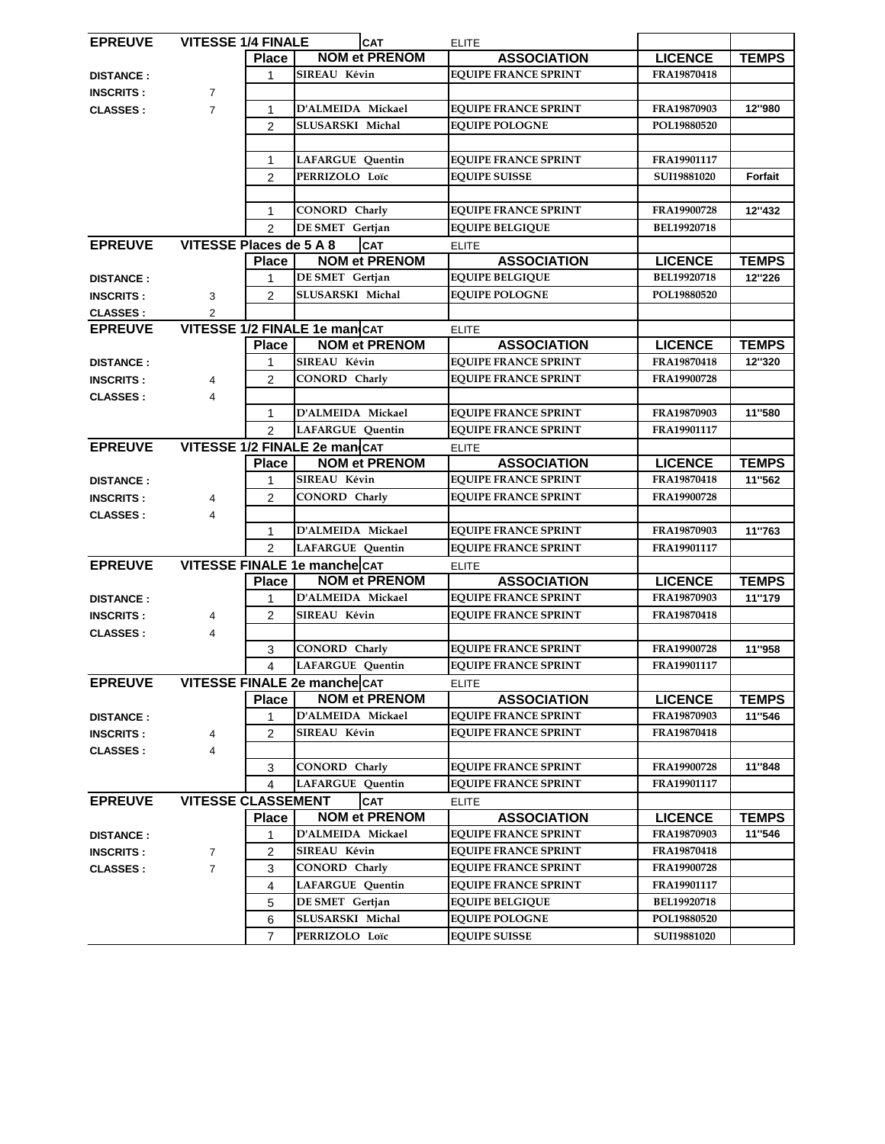| <b>EPREUVE</b>   | <b>VITESSE 1/4 FINALE</b>     |                |                               | <b>CAT</b>                         | <b>ELITE</b> |                             |                    |              |
|------------------|-------------------------------|----------------|-------------------------------|------------------------------------|--------------|-----------------------------|--------------------|--------------|
|                  |                               | <b>Place</b>   |                               | <b>NOM et PRENOM</b>               |              | <b>ASSOCIATION</b>          | <b>LICENCE</b>     | <b>TEMPS</b> |
| <b>DISTANCE:</b> |                               | 1              | SIREAU Kévin                  |                                    |              | <b>EQUIPE FRANCE SPRINT</b> | FRA19870418        |              |
| <b>INSCRITS:</b> | $\overline{7}$                |                |                               |                                    |              |                             |                    |              |
| <b>CLASSES:</b>  | $\overline{7}$                | 1              |                               | D'ALMEIDA Mickael                  |              | <b>EQUIPE FRANCE SPRINT</b> | FRA19870903        | 12"980       |
|                  |                               | $\overline{c}$ | SLUSARSKI Michal              |                                    |              | <b>EQUIPE POLOGNE</b>       | POL19880520        |              |
|                  |                               |                |                               |                                    |              |                             |                    |              |
|                  |                               | 1              | <b>LAFARGUE Quentin</b>       |                                    |              | <b>EQUIPE FRANCE SPRINT</b> | FRA19901117        |              |
|                  |                               | $\overline{2}$ |                               | PERRIZOLO Loïc                     |              | <b>EQUIPE SUISSE</b>        | SUI19881020        | Forfait      |
|                  |                               |                |                               |                                    |              |                             |                    |              |
|                  |                               | 1              |                               | <b>CONORD Charly</b>               |              | <b>EQUIPE FRANCE SPRINT</b> | FRA19900728        | 12"432       |
|                  |                               | $\overline{2}$ |                               | DE SMET Gertjan                    |              | <b>EQUIPE BELGIQUE</b>      | BEL19920718        |              |
| <b>EPREUVE</b>   | VITESSE Places de 5 A 8       |                | <b>CAT</b>                    |                                    | <b>ELITE</b> |                             |                    |              |
|                  |                               | <b>Place</b>   |                               | <b>NOM et PRENOM</b>               |              | <b>ASSOCIATION</b>          | <b>LICENCE</b>     | <b>TEMPS</b> |
| <b>DISTANCE:</b> |                               | 1              |                               | DE SMET Gertjan                    |              | <b>EQUIPE BELGIQUE</b>      | BEL19920718        | 12"226       |
| <b>INSCRITS:</b> | 3                             | $\overline{2}$ |                               | SLUSARSKI Michal                   |              | <b>EQUIPE POLOGNE</b>       | POL19880520        |              |
| <b>CLASSES:</b>  | $\overline{2}$                |                |                               |                                    |              |                             |                    |              |
| <b>EPREUVE</b>   | VITESSE 1/2 FINALE 1e man CAT |                |                               |                                    | <b>ELITE</b> |                             |                    |              |
|                  |                               | <b>Place</b>   |                               | <b>NOM et PRENOM</b>               |              | <b>ASSOCIATION</b>          | <b>LICENCE</b>     | <b>TEMPS</b> |
| <b>DISTANCE:</b> |                               | 1              | SIREAU Kévin                  |                                    |              | <b>EQUIPE FRANCE SPRINT</b> | FRA19870418        | 12"320       |
| <b>INSCRITS:</b> | 4                             | $\overline{c}$ | CONORD Charly                 |                                    |              | <b>EQUIPE FRANCE SPRINT</b> | FRA19900728        |              |
| <b>CLASSES:</b>  | 4                             |                |                               |                                    |              |                             |                    |              |
|                  |                               | 1              |                               | D'ALMEIDA Mickael                  |              | <b>EQUIPE FRANCE SPRINT</b> | FRA19870903        | 11"580       |
|                  |                               | $\overline{2}$ |                               | <b>LAFARGUE Quentin</b>            |              | <b>EQUIPE FRANCE SPRINT</b> | FRA19901117        |              |
| <b>EPREUVE</b>   |                               |                | VITESSE 1/2 FINALE 2e man CAT |                                    | <b>ELITE</b> |                             |                    |              |
|                  |                               | <b>Place</b>   | <b>NOM et PRENOM</b>          |                                    |              | <b>ASSOCIATION</b>          | <b>LICENCE</b>     | <b>TEMPS</b> |
| <b>DISTANCE:</b> |                               | 1              | SIREAU Kévin                  |                                    |              | <b>EQUIPE FRANCE SPRINT</b> | FRA19870418        | 11"562       |
| <b>INSCRITS:</b> | 4                             | $\overline{2}$ | <b>CONORD</b> Charly          |                                    |              | <b>EQUIPE FRANCE SPRINT</b> | FRA19900728        |              |
| <b>CLASSES:</b>  | 4                             |                |                               |                                    |              |                             |                    |              |
|                  |                               | 1              | D'ALMEIDA Mickael             |                                    |              | <b>EQUIPE FRANCE SPRINT</b> | FRA19870903        | 11"763       |
|                  |                               | $\mathfrak{p}$ | <b>LAFARGUE Quentin</b>       |                                    |              | <b>EQUIPE FRANCE SPRINT</b> | FRA19901117        |              |
| <b>EPREUVE</b>   | VITESSE FINALE 1e manche CAT  |                |                               |                                    | <b>ELITE</b> |                             |                    |              |
|                  |                               | <b>Place</b>   |                               | <b>NOM et PRENOM</b>               |              | <b>ASSOCIATION</b>          | <b>LICENCE</b>     | <b>TEMPS</b> |
| <b>DISTANCE:</b> |                               | 1              | D'ALMEIDA Mickael             |                                    |              | <b>EQUIPE FRANCE SPRINT</b> | FRA19870903        | 11"179       |
| <b>INSCRITS:</b> | 4                             | $\overline{c}$ | SIREAU Kévin                  |                                    |              | <b>EQUIPE FRANCE SPRINT</b> | FRA19870418        |              |
|                  | 4                             |                |                               |                                    |              |                             |                    |              |
| <b>CLASSES :</b> |                               | 3              | <b>CONORD Charly</b>          |                                    |              | <b>EQUIPE FRANCE SPRINT</b> | FRA19900728        | 11"958       |
|                  |                               | 4              | LAFARGUE Quentin              |                                    |              | <b>EQUIPE FRANCE SPRINT</b> | FRA19901117        |              |
| <b>EPREUVE</b>   | VITESSE FINALE 2e manche CAT  |                |                               |                                    |              |                             |                    |              |
|                  |                               | <b>Place</b>   |                               | <b>NOM et PRENOM</b>               | <b>ELITE</b> | <b>ASSOCIATION</b>          | <b>LICENCE</b>     | <b>TEMPS</b> |
| <b>DISTANCE:</b> |                               | 1              | D'ALMEIDA Mickael             |                                    |              | <b>EQUIPE FRANCE SPRINT</b> | FRA19870903        | 11"546       |
|                  | 4                             | 2              | SIREAU Kévin                  |                                    |              | <b>EQUIPE FRANCE SPRINT</b> | FRA19870418        |              |
| <b>INSCRITS:</b> |                               |                |                               |                                    |              |                             |                    |              |
| <b>CLASSES:</b>  | $\overline{4}$                |                | CONORD Charly                 |                                    |              | <b>EQUIPE FRANCE SPRINT</b> | FRA19900728        | 11"848       |
|                  |                               | 3<br>4         |                               |                                    |              | <b>EQUIPE FRANCE SPRINT</b> | FRA19901117        |              |
|                  | <b>VITESSE CLASSEMENT</b>     |                |                               | <b>LAFARGUE Quentin</b>            |              |                             |                    |              |
| <b>EPREUVE</b>   |                               |                |                               | <b>CAT</b><br><b>NOM et PRENOM</b> | <b>ELITE</b> |                             |                    |              |
|                  |                               | <b>Place</b>   |                               |                                    |              | <b>ASSOCIATION</b>          | <b>LICENCE</b>     | <b>TEMPS</b> |
| <b>DISTANCE:</b> |                               | 1              | D'ALMEIDA Mickael             |                                    |              | <b>EQUIPE FRANCE SPRINT</b> | FRA19870903        | 11"546       |
| <b>INSCRITS:</b> | $\overline{7}$                | 2              | SIREAU Kévin                  |                                    |              | <b>EQUIPE FRANCE SPRINT</b> | FRA19870418        |              |
| <b>CLASSES:</b>  | $\overline{7}$                | 3              | <b>CONORD Charly</b>          |                                    |              | <b>EQUIPE FRANCE SPRINT</b> | FRA19900728        |              |
|                  |                               | 4              | <b>LAFARGUE Quentin</b>       |                                    |              | <b>EQUIPE FRANCE SPRINT</b> | FRA19901117        |              |
|                  |                               | 5              | DE SMET Gertjan               |                                    |              | <b>EQUIPE BELGIQUE</b>      | <b>BEL19920718</b> |              |
|                  |                               | 6              | SLUSARSKI Michal              |                                    |              | <b>EQUIPE POLOGNE</b>       | POL19880520        |              |
|                  |                               | 7              |                               | PERRIZOLO Loïc                     |              | <b>EQUIPE SUISSE</b>        | SUI19881020        |              |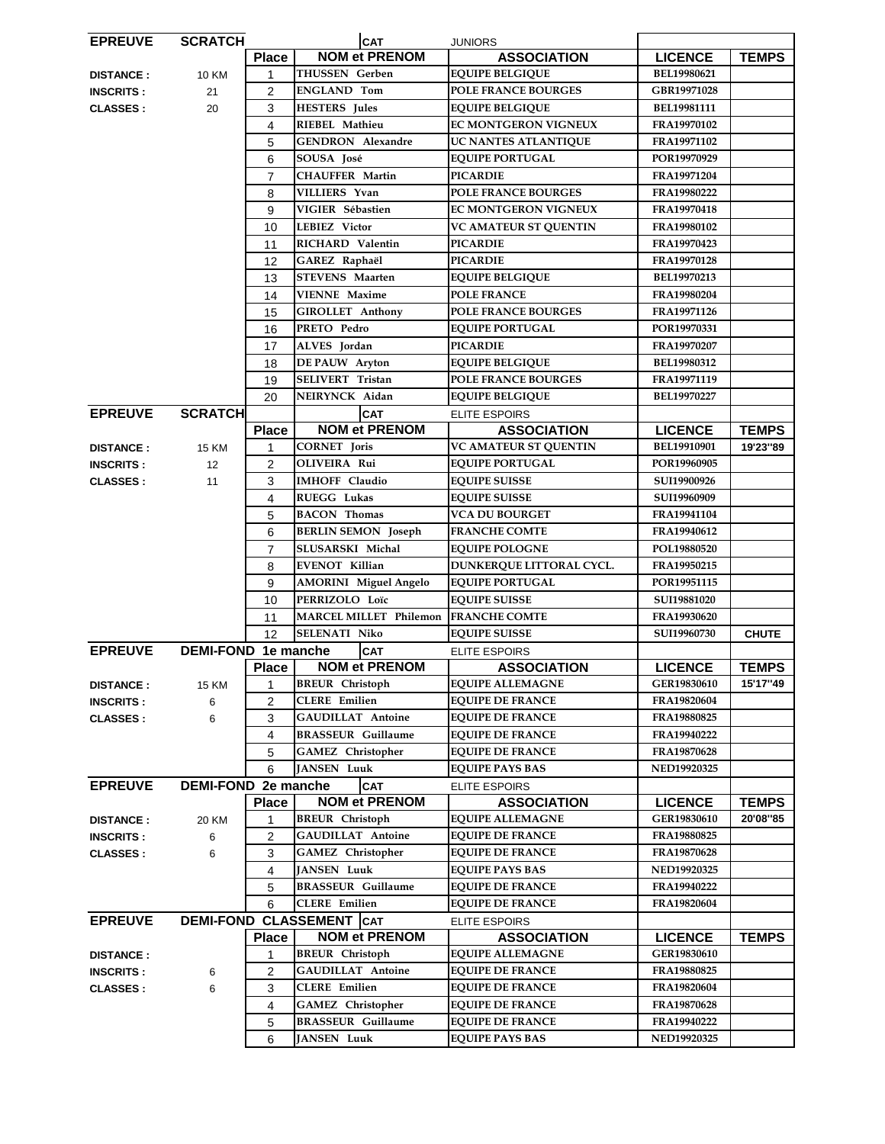| <b>EPREUVE</b>   | <b>SCRATCH</b>             | <b>CAT</b>                 |                                      | <b>JUNIORS</b>             |                    |              |
|------------------|----------------------------|----------------------------|--------------------------------------|----------------------------|--------------------|--------------|
|                  |                            | <b>Place</b>               | <b>NOM et PRENOM</b>                 | <b>ASSOCIATION</b>         | <b>LICENCE</b>     | <b>TEMPS</b> |
| <b>DISTANCE:</b> | <b>10 KM</b>               | $\mathbf{1}$               | <b>THUSSEN</b> Gerben                | <b>EQUIPE BELGIQUE</b>     | BEL19980621        |              |
| <b>INSCRITS:</b> | 21                         | 2                          | <b>ENGLAND Tom</b>                   | POLE FRANCE BOURGES        | GBR19971028        |              |
| <b>CLASSES:</b>  | 20                         | 3                          | <b>HESTERS</b> Jules                 | <b>EQUIPE BELGIQUE</b>     | BEL19981111        |              |
|                  |                            | 4                          | RIEBEL Mathieu                       | EC MONTGERON VIGNEUX       | FRA19970102        |              |
|                  |                            | 5                          | <b>GENDRON</b> Alexandre             | UC NANTES ATLANTIQUE       | FRA19971102        |              |
|                  |                            | 6                          | SOUSA José                           | <b>EQUIPE PORTUGAL</b>     | POR19970929        |              |
|                  |                            | $\overline{7}$             | <b>CHAUFFER Martin</b>               | <b>PICARDIE</b>            | FRA19971204        |              |
|                  |                            | 8                          | VILLIERS Yvan                        | <b>POLE FRANCE BOURGES</b> | FRA19980222        |              |
|                  |                            | 9                          | VIGIER Sébastien                     | EC MONTGERON VIGNEUX       | FRA19970418        |              |
|                  |                            | 10                         | <b>LEBIEZ Victor</b>                 | VC AMATEUR ST QUENTIN      | FRA19980102        |              |
|                  |                            | 11                         | RICHARD Valentin                     | <b>PICARDIE</b>            | FRA19970423        |              |
|                  |                            | 12                         | GAREZ Raphaël                        | <b>PICARDIE</b>            | FRA19970128        |              |
|                  |                            | 13                         | <b>STEVENS</b> Maarten               | <b>EQUIPE BELGIQUE</b>     | BEL19970213        |              |
|                  |                            | 14                         | <b>VIENNE Maxime</b>                 | <b>POLE FRANCE</b>         | FRA19980204        |              |
|                  |                            | 15                         | <b>GIROLLET Anthony</b>              | POLE FRANCE BOURGES        | FRA19971126        |              |
|                  |                            | 16                         | PRETO Pedro                          | <b>EQUIPE PORTUGAL</b>     | POR19970331        |              |
|                  |                            | 17                         | ALVES Jordan                         | <b>PICARDIE</b>            | FRA19970207        |              |
|                  |                            | 18                         | <b>DE PAUW</b> Aryton                | <b>EQUIPE BELGIQUE</b>     | BEL19980312        |              |
|                  |                            | 19                         | <b>SELIVERT Tristan</b>              | <b>POLE FRANCE BOURGES</b> | FRA19971119        |              |
|                  |                            | 20                         | NEIRYNCK Aidan                       | <b>EQUIPE BELGIQUE</b>     | BEL19970227        |              |
| <b>EPREUVE</b>   | <b>SCRATCH</b>             |                            | <b>CAT</b>                           | <b>ELITE ESPOIRS</b>       |                    |              |
|                  |                            | <b>Place</b>               | <b>NOM et PRENOM</b>                 | <b>ASSOCIATION</b>         | <b>LICENCE</b>     | <b>TEMPS</b> |
| <b>DISTANCE:</b> | <b>15 KM</b>               | 1                          | <b>CORNET</b> Joris                  | VC AMATEUR ST QUENTIN      | <b>BEL19910901</b> | 19'23"89     |
| <b>INSCRITS:</b> | 12                         | 2                          | <b>OLIVEIRA Rui</b>                  | <b>EQUIPE PORTUGAL</b>     | POR19960905        |              |
| <b>CLASSES:</b>  | 11                         | 3                          | <b>IMHOFF Claudio</b>                | <b>EQUIPE SUISSE</b>       | SUI19900926        |              |
|                  |                            | 4                          | RUEGG Lukas                          | <b>EQUIPE SUISSE</b>       | SUI19960909        |              |
|                  |                            | 5                          | <b>BACON</b> Thomas                  | <b>VCA DU BOURGET</b>      | FRA19941104        |              |
|                  |                            | 6                          | <b>BERLIN SEMON Joseph</b>           | <b>FRANCHE COMTE</b>       | FRA19940612        |              |
|                  |                            | $\overline{7}$             | SLUSARSKI Michal                     | <b>EQUIPE POLOGNE</b>      | POL19880520        |              |
|                  |                            | 8                          | <b>EVENOT Killian</b>                | DUNKERQUE LITTORAL CYCL.   | FRA19950215        |              |
|                  |                            | 9                          | <b>AMORINI</b> Miguel Angelo         | <b>EQUIPE PORTUGAL</b>     | POR19951115        |              |
|                  |                            | 10                         | PERRIZOLO Loïc                       | <b>EQUIPE SUISSE</b>       | SUI19881020        |              |
|                  |                            | 11                         | MARCEL MILLET Philemon FRANCHE COMTE |                            | FRA19930620        |              |
|                  |                            | 12                         | <b>SELENATI Niko</b>                 | <b>EQUIPE SUISSE</b>       | SUI19960730        | <b>CHUTE</b> |
| <b>EPREUVE</b>   |                            |                            |                                      |                            |                    |              |
|                  |                            | <b>DEMI-FOND 1e manche</b> | <b>CAT</b>                           | ELITE ESPOIRS              |                    |              |
|                  |                            | <b>Place</b>               | <b>NOM et PRENOM</b>                 | <b>ASSOCIATION</b>         | <b>LICENCE</b>     | <b>TEMPS</b> |
| <b>DISTANCE:</b> | <b>15 KM</b>               | 1                          | <b>BREUR</b> Christoph               | <b>EQUIPE ALLEMAGNE</b>    | GER19830610        | 15'17"49     |
| <b>INSCRITS:</b> | 6                          | 2                          | <b>CLERE</b> Emilien                 | <b>EQUIPE DE FRANCE</b>    | FRA19820604        |              |
| <b>CLASSES:</b>  | 6                          | 3                          | <b>GAUDILLAT</b> Antoine             | <b>EQUIPE DE FRANCE</b>    | FRA19880825        |              |
|                  |                            | 4                          | <b>BRASSEUR Guillaume</b>            | <b>EQUIPE DE FRANCE</b>    | FRA19940222        |              |
|                  |                            | 5                          | <b>GAMEZ</b> Christopher             | <b>EQUIPE DE FRANCE</b>    | FRA19870628        |              |
|                  |                            | 6                          | <b>JANSEN Luuk</b>                   | <b>EQUIPE PAYS BAS</b>     | <b>NED19920325</b> |              |
| <b>EPREUVE</b>   | <b>DEMI-FOND 2e manche</b> |                            | <b>CAT</b>                           | <b>ELITE ESPOIRS</b>       |                    |              |
|                  |                            | <b>Place</b>               | <b>NOM et PRENOM</b>                 | <b>ASSOCIATION</b>         | <b>LICENCE</b>     | <b>TEMPS</b> |
| <b>DISTANCE:</b> | 20 KM                      | 1                          | <b>BREUR</b> Christoph               | <b>EQUIPE ALLEMAGNE</b>    | GER19830610        | 20'08"85     |
| <b>INSCRITS:</b> | 6                          | 2                          | <b>GAUDILLAT</b> Antoine             | <b>EQUIPE DE FRANCE</b>    | FRA19880825        |              |
| <b>CLASSES:</b>  | 6                          | 3                          | <b>GAMEZ</b> Christopher             | <b>EQUIPE DE FRANCE</b>    | FRA19870628        |              |
|                  |                            | 4                          | <b>JANSEN Luuk</b>                   | <b>EQUIPE PAYS BAS</b>     | <b>NED19920325</b> |              |
|                  |                            | 5                          | <b>BRASSEUR</b> Guillaume            | <b>EQUIPE DE FRANCE</b>    | FRA19940222        |              |
|                  |                            | 6                          | <b>CLERE</b> Emilien                 | <b>EQUIPE DE FRANCE</b>    | FRA19820604        |              |
| <b>EPREUVE</b>   |                            |                            | <b>DEMI-FOND CLASSEMENT CAT</b>      | ELITE ESPOIRS              |                    |              |
|                  |                            | <b>Place</b>               | <b>NOM et PRENOM</b>                 | <b>ASSOCIATION</b>         | <b>LICENCE</b>     | <b>TEMPS</b> |
| <b>DISTANCE:</b> |                            | 1                          | <b>BREUR</b> Christoph               | <b>EQUIPE ALLEMAGNE</b>    | GER19830610        |              |
| <b>INSCRITS:</b> | 6                          | 2                          | <b>GAUDILLAT</b> Antoine             | <b>EQUIPE DE FRANCE</b>    | FRA19880825        |              |
| <b>CLASSES:</b>  | 6                          | 3                          | <b>CLERE</b> Emilien                 | <b>EQUIPE DE FRANCE</b>    | FRA19820604        |              |
|                  |                            | 4                          | <b>GAMEZ</b> Christopher             | <b>EQUIPE DE FRANCE</b>    | FRA19870628        |              |
|                  |                            | 5                          | <b>BRASSEUR Guillaume</b>            | <b>EQUIPE DE FRANCE</b>    | FRA19940222        |              |